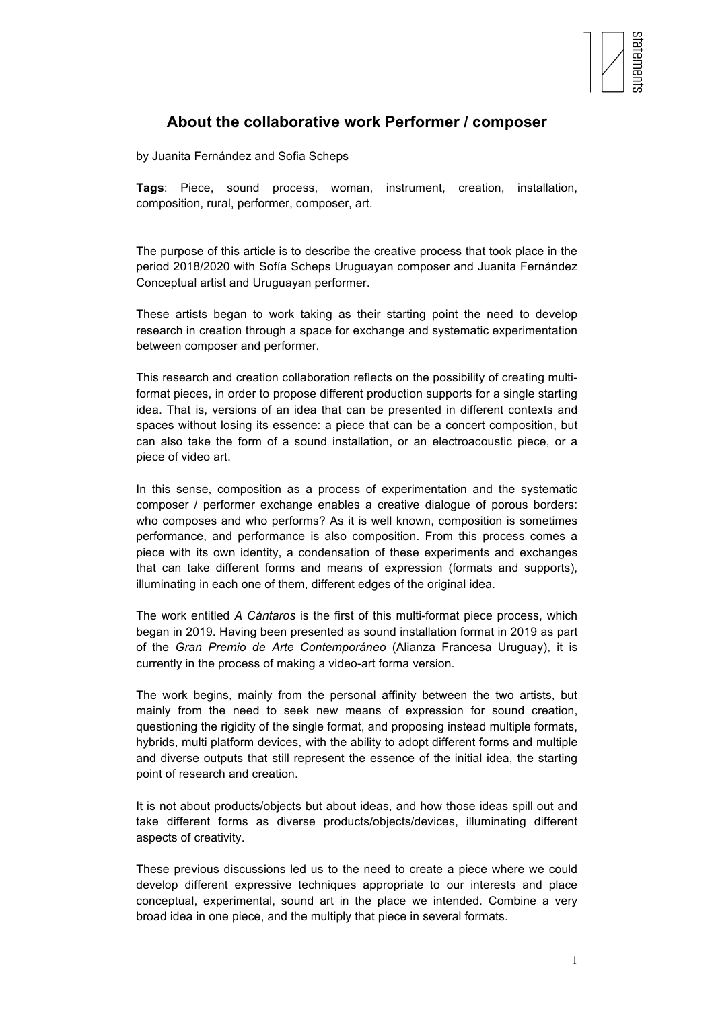

## **About the collaborative work Performer / composer**

by Juanita Fernández and Sofia Scheps

**Tags**: Piece, sound process, woman, instrument, creation, installation, composition, rural, performer, composer, art.

The purpose of this article is to describe the creative process that took place in the period 2018/2020 with Sofía Scheps Uruguayan composer and Juanita Fernández Conceptual artist and Uruguayan performer.

These artists began to work taking as their starting point the need to develop research in creation through a space for exchange and systematic experimentation between composer and performer.

This research and creation collaboration reflects on the possibility of creating multiformat pieces, in order to propose different production supports for a single starting idea. That is, versions of an idea that can be presented in different contexts and spaces without losing its essence: a piece that can be a concert composition, but can also take the form of a sound installation, or an electroacoustic piece, or a piece of video art.

In this sense, composition as a process of experimentation and the systematic composer / performer exchange enables a creative dialogue of porous borders: who composes and who performs? As it is well known, composition is sometimes performance, and performance is also composition. From this process comes a piece with its own identity, a condensation of these experiments and exchanges that can take different forms and means of expression (formats and supports), illuminating in each one of them, different edges of the original idea.

The work entitled *A Cántaros* is the first of this multi-format piece process, which began in 2019. Having been presented as sound installation format in 2019 as part of the *Gran Premio de Arte Contemporáneo* (Alianza Francesa Uruguay), it is currently in the process of making a video-art forma version.

The work begins, mainly from the personal affinity between the two artists, but mainly from the need to seek new means of expression for sound creation, questioning the rigidity of the single format, and proposing instead multiple formats, hybrids, multi platform devices, with the ability to adopt different forms and multiple and diverse outputs that still represent the essence of the initial idea, the starting point of research and creation.

It is not about products/objects but about ideas, and how those ideas spill out and take different forms as diverse products/objects/devices, illuminating different aspects of creativity.

These previous discussions led us to the need to create a piece where we could develop different expressive techniques appropriate to our interests and place conceptual, experimental, sound art in the place we intended. Combine a very broad idea in one piece, and the multiply that piece in several formats.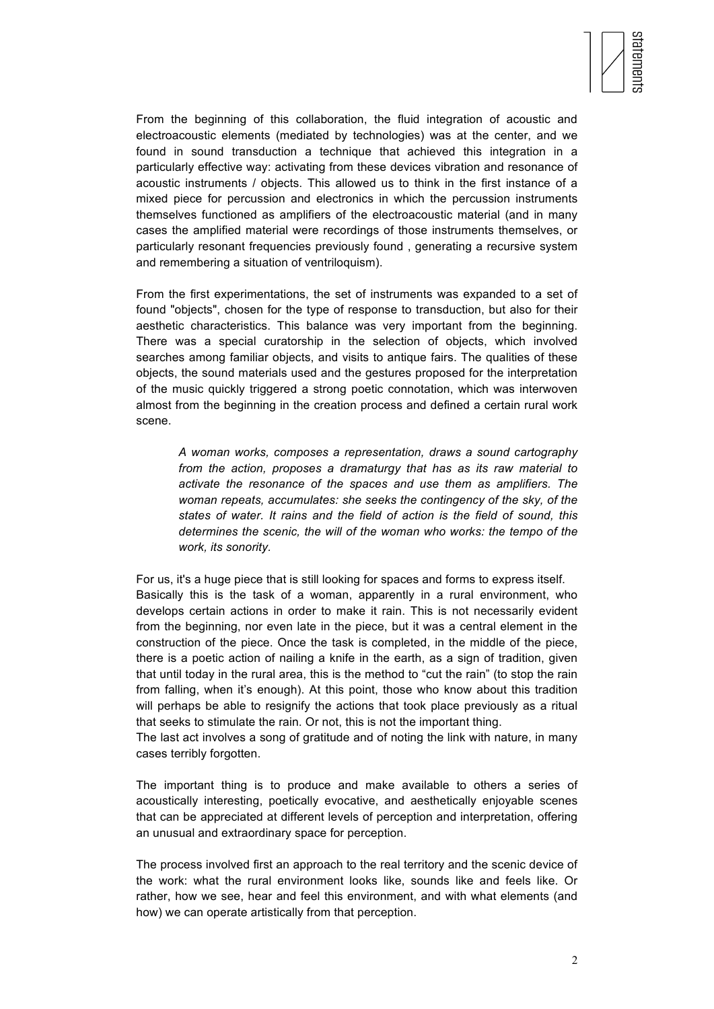

From the beginning of this collaboration, the fluid integration of acoustic and electroacoustic elements (mediated by technologies) was at the center, and we found in sound transduction a technique that achieved this integration in a particularly effective way: activating from these devices vibration and resonance of acoustic instruments / objects. This allowed us to think in the first instance of a mixed piece for percussion and electronics in which the percussion instruments themselves functioned as amplifiers of the electroacoustic material (and in many cases the amplified material were recordings of those instruments themselves, or particularly resonant frequencies previously found , generating a recursive system and remembering a situation of ventriloquism).

From the first experimentations, the set of instruments was expanded to a set of found "objects", chosen for the type of response to transduction, but also for their aesthetic characteristics. This balance was very important from the beginning. There was a special curatorship in the selection of objects, which involved searches among familiar objects, and visits to antique fairs. The qualities of these objects, the sound materials used and the gestures proposed for the interpretation of the music quickly triggered a strong poetic connotation, which was interwoven almost from the beginning in the creation process and defined a certain rural work scene.

*A woman works, composes a representation, draws a sound cartography from the action, proposes a dramaturgy that has as its raw material to activate the resonance of the spaces and use them as amplifiers. The woman repeats, accumulates: she seeks the contingency of the sky, of the states of water. It rains and the field of action is the field of sound, this determines the scenic, the will of the woman who works: the tempo of the work, its sonority.* 

For us, it's a huge piece that is still looking for spaces and forms to express itself. Basically this is the task of a woman, apparently in a rural environment, who develops certain actions in order to make it rain. This is not necessarily evident from the beginning, nor even late in the piece, but it was a central element in the construction of the piece. Once the task is completed, in the middle of the piece, there is a poetic action of nailing a knife in the earth, as a sign of tradition, given that until today in the rural area, this is the method to "cut the rain" (to stop the rain from falling, when it's enough). At this point, those who know about this tradition will perhaps be able to resignify the actions that took place previously as a ritual that seeks to stimulate the rain. Or not, this is not the important thing.

The last act involves a song of gratitude and of noting the link with nature, in many cases terribly forgotten.

The important thing is to produce and make available to others a series of acoustically interesting, poetically evocative, and aesthetically enjoyable scenes that can be appreciated at different levels of perception and interpretation, offering an unusual and extraordinary space for perception.

The process involved first an approach to the real territory and the scenic device of the work: what the rural environment looks like, sounds like and feels like. Or rather, how we see, hear and feel this environment, and with what elements (and how) we can operate artistically from that perception.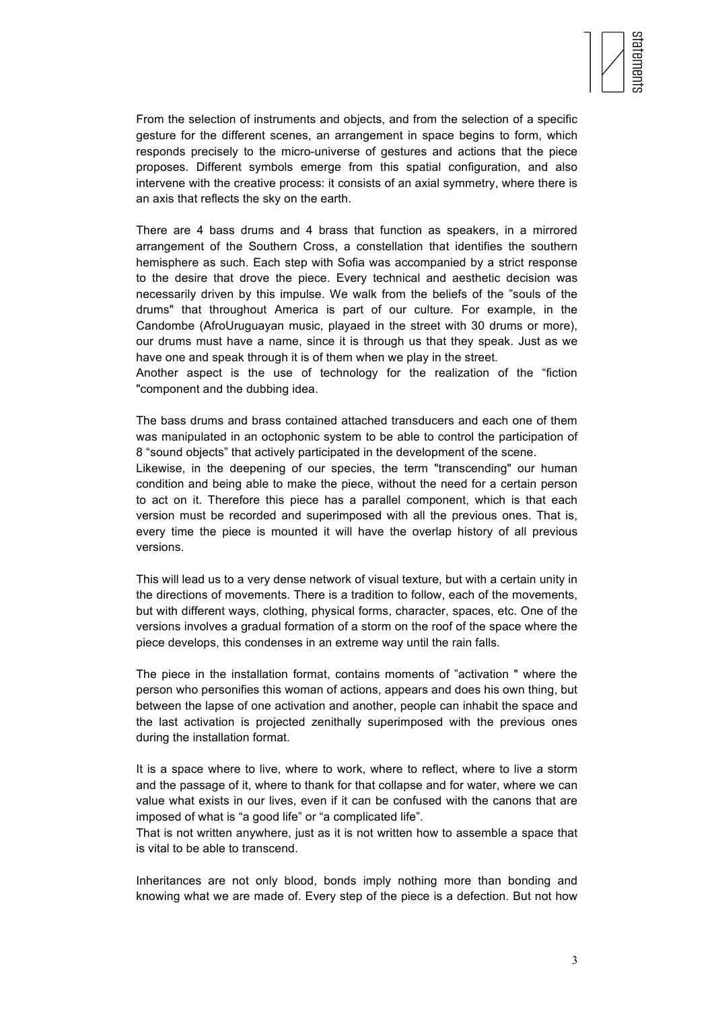

From the selection of instruments and objects, and from the selection of a specific gesture for the different scenes, an arrangement in space begins to form, which responds precisely to the micro-universe of gestures and actions that the piece proposes. Different symbols emerge from this spatial configuration, and also intervene with the creative process: it consists of an axial symmetry, where there is an axis that reflects the sky on the earth.

There are 4 bass drums and 4 brass that function as speakers, in a mirrored arrangement of the Southern Cross, a constellation that identifies the southern hemisphere as such. Each step with Sofia was accompanied by a strict response to the desire that drove the piece. Every technical and aesthetic decision was necessarily driven by this impulse. We walk from the beliefs of the "souls of the drums" that throughout America is part of our culture. For example, in the Candombe (AfroUruguayan music, playaed in the street with 30 drums or more), our drums must have a name, since it is through us that they speak. Just as we have one and speak through it is of them when we play in the street.

Another aspect is the use of technology for the realization of the "fiction "component and the dubbing idea.

The bass drums and brass contained attached transducers and each one of them was manipulated in an octophonic system to be able to control the participation of 8 "sound objects" that actively participated in the development of the scene.

Likewise, in the deepening of our species, the term "transcending" our human condition and being able to make the piece, without the need for a certain person to act on it. Therefore this piece has a parallel component, which is that each version must be recorded and superimposed with all the previous ones. That is, every time the piece is mounted it will have the overlap history of all previous versions.

This will lead us to a very dense network of visual texture, but with a certain unity in the directions of movements. There is a tradition to follow, each of the movements, but with different ways, clothing, physical forms, character, spaces, etc. One of the versions involves a gradual formation of a storm on the roof of the space where the piece develops, this condenses in an extreme way until the rain falls.

The piece in the installation format, contains moments of "activation " where the person who personifies this woman of actions, appears and does his own thing, but between the lapse of one activation and another, people can inhabit the space and the last activation is projected zenithally superimposed with the previous ones during the installation format.

It is a space where to live, where to work, where to reflect, where to live a storm and the passage of it, where to thank for that collapse and for water, where we can value what exists in our lives, even if it can be confused with the canons that are imposed of what is "a good life" or "a complicated life".

That is not written anywhere, just as it is not written how to assemble a space that is vital to be able to transcend.

Inheritances are not only blood, bonds imply nothing more than bonding and knowing what we are made of. Every step of the piece is a defection. But not how